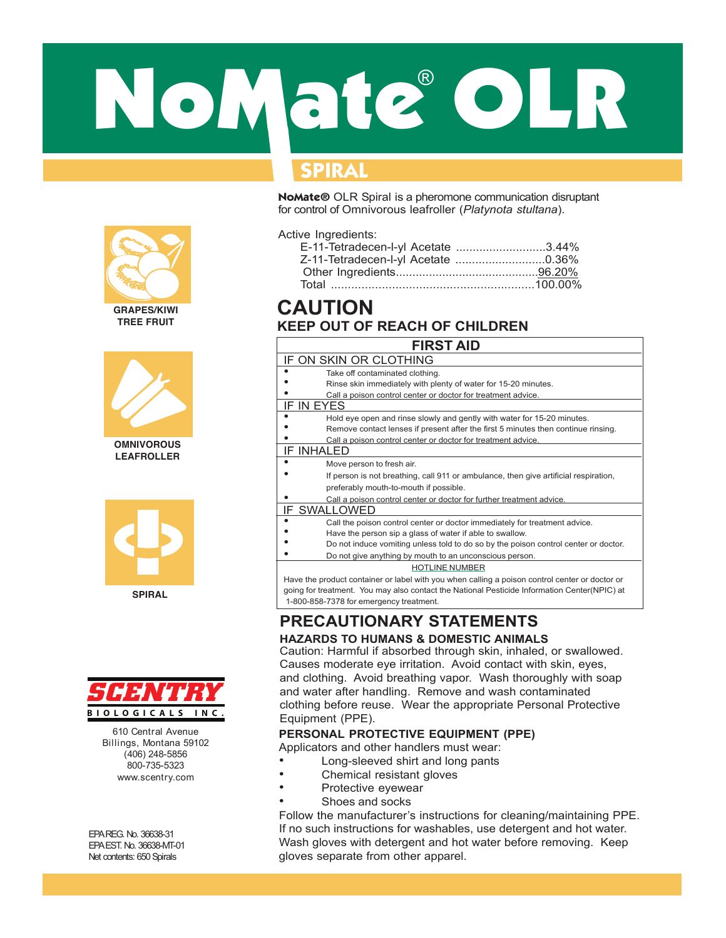# NoMate OLR ®

# **SPIRAL**

**NoMate®** OLR Spiral is a pheromone communication disruptant for control of Omnivorous leafroller (*Platynota stultana*).

Active Ingredients:

| E-11-Tetradecen-l-yl Acetate 3.44% |
|------------------------------------|
| Z-11-Tetradecen-l-yl Acetate 0.36% |
|                                    |
|                                    |
|                                    |

# **KEEP OUT OF REACH OF CHILDREN CAUTION**

| <b>FIRST AID</b>                                                                               |
|------------------------------------------------------------------------------------------------|
| IF ON SKIN OR CLOTHING                                                                         |
| Take off contaminated clothing.                                                                |
| Rinse skin immediately with plenty of water for 15-20 minutes.                                 |
| Call a poison control center or doctor for treatment advice.                                   |
| IF IN EYES                                                                                     |
| Hold eye open and rinse slowly and gently with water for 15-20 minutes.                        |
| Remove contact lenses if present after the first 5 minutes then continue rinsing.              |
| Call a poison control center or doctor for treatment advice.                                   |
| <b>IF INHALED</b>                                                                              |
| Move person to fresh air.                                                                      |
| If person is not breathing, call 911 or ambulance, then give artificial respiration,           |
| preferably mouth-to-mouth if possible.                                                         |
| Call a poison control center or doctor for further treatment advice.                           |
| IF SWALLOWED                                                                                   |
| ٠<br>Call the poison control center or doctor immediately for treatment advice.                |
| Have the person sip a glass of water if able to swallow.                                       |
| Do not induce vomiting unless told to do so by the poison control center or doctor.            |
| Do not give anything by mouth to an unconscious person.                                        |
| <b>HOTLINE NUMBER</b>                                                                          |
| Have the product container or label with you when calling a poison control center or doctor or |
| going for treatment. You may also contact the National Pesticide Information Center(NPIC) at   |
| 1-800-858-7378 for emergency treatment.                                                        |

## **PRECAUTIONARY STATEMENTS HAZARDS TO HUMANS & DOMESTIC ANIMALS**

Caution: Harmful if absorbed through skin, inhaled, or swallowed. Causes moderate eye irritation. Avoid contact with skin, eyes, and clothing. Avoid breathing vapor. Wash thoroughly with soap and water after handling. Remove and wash contaminated clothing before reuse. Wear the appropriate Personal Protective Equipment (PPE).

## **PERSONAL PROTECTIVE EQUIPMENT (PPE)**

Applicators and other handlers must wear:

- Long-sleeved shirt and long pants
- Chemical resistant gloves
- Protective eyewear
- Shoes and socks

Follow the manufacturer's instructions for cleaning/maintaining PPE. If no such instructions for washables, use detergent and hot water. Wash gloves with detergent and hot water before removing. Keep gloves separate from other apparel.



**GRAPES/KIWI TREE FRUIT**



**OMNIVOROUS LEAFROLLER**





610 Central Avenue Billings, Montana 59102 (406) 248-5856 800-735-5323 www.scentry.com

EPAREG. No. 36638-31 EPAEST. No. 36638-MT-01 Net contents: 650 Spirals